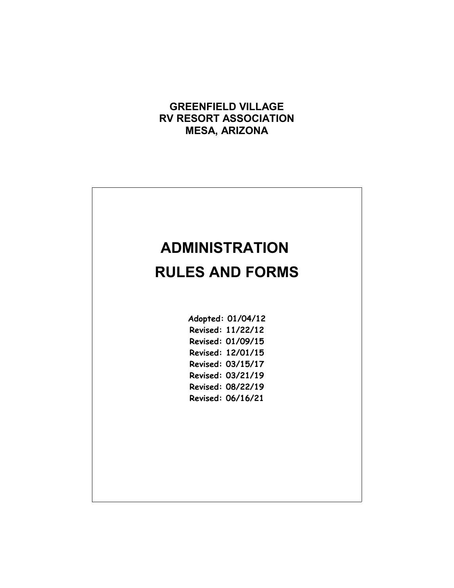## **GREENFIELD VILLAGE RV RESORT ASSOCIATION MESA, ARIZONA**



| Adopted: 01/04/12 |
|-------------------|
| Revised: 11/22/12 |
| Revised: 01/09/15 |
| Revised: 12/01/15 |
| Revised: 03/15/17 |
| Revised: 03/21/19 |
| Revised: 08/22/19 |
| Revised: 06/16/21 |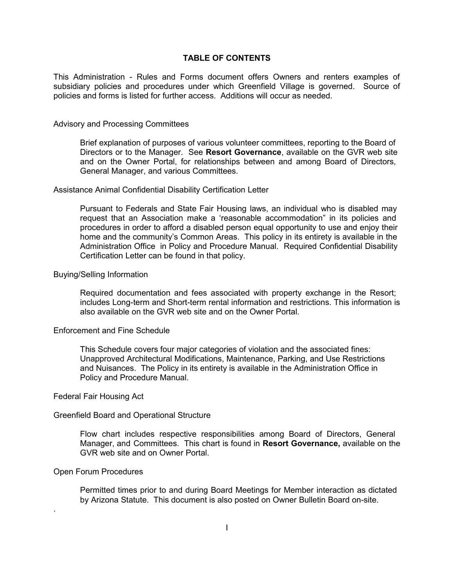## **TABLE OF CONTENTS**

This Administration - Rules and Forms document offers Owners and renters examples of subsidiary policies and procedures under which Greenfield Village is governed. Source of policies and forms is listed for further access. Additions will occur as needed.

#### Advisory and Processing Committees

Brief explanation of purposes of various volunteer committees, reporting to the Board of Directors or to the Manager. See **Resort Governance**, available on the GVR web site and on the Owner Portal, for relationships between and among Board of Directors, General Manager, and various Committees.

#### Assistance Animal Confidential Disability Certification Letter

Pursuant to Federals and State Fair Housing laws, an individual who is disabled may request that an Association make a 'reasonable accommodation" in its policies and procedures in order to afford a disabled person equal opportunity to use and enjoy their home and the community's Common Areas. This policy in its entirety is available in the Administration Office in Policy and Procedure Manual. Required Confidential Disability Certification Letter can be found in that policy.

#### Buying/Selling Information

Required documentation and fees associated with property exchange in the Resort; includes Long-term and Short-term rental information and restrictions. This information is also available on the GVR web site and on the Owner Portal.

### Enforcement and Fine Schedule

This Schedule covers four major categories of violation and the associated fines: Unapproved Architectural Modifications, Maintenance, Parking, and Use Restrictions and Nuisances. The Policy in its entirety is available in the Administration Office in Policy and Procedure Manual.

#### Federal Fair Housing Act

#### Greenfield Board and Operational Structure

Flow chart includes respective responsibilities among Board of Directors, General Manager, and Committees. This chart is found in **Resort Governance,** available on the GVR web site and on Owner Portal.

#### Open Forum Procedures

.

Permitted times prior to and during Board Meetings for Member interaction as dictated by Arizona Statute. This document is also posted on Owner Bulletin Board on-site.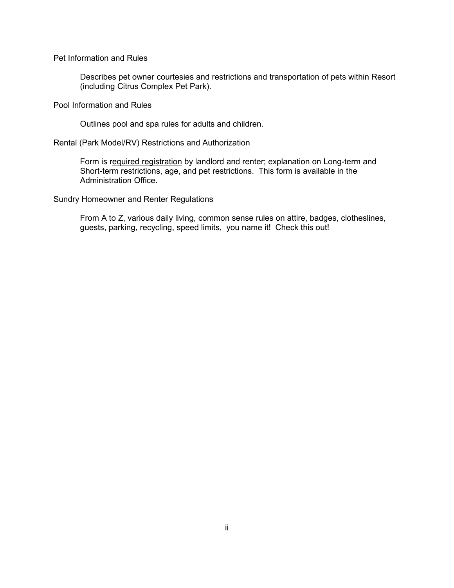Pet Information and Rules

Describes pet owner courtesies and restrictions and transportation of pets within Resort (including Citrus Complex Pet Park).

Pool Information and Rules

Outlines pool and spa rules for adults and children.

Rental (Park Model/RV) Restrictions and Authorization

Form is required registration by landlord and renter; explanation on Long-term and Short-term restrictions, age, and pet restrictions. This form is available in the Administration Office.

Sundry Homeowner and Renter Regulations

From A to Z, various daily living, common sense rules on attire, badges, clotheslines, guests, parking, recycling, speed limits, you name it! Check this out!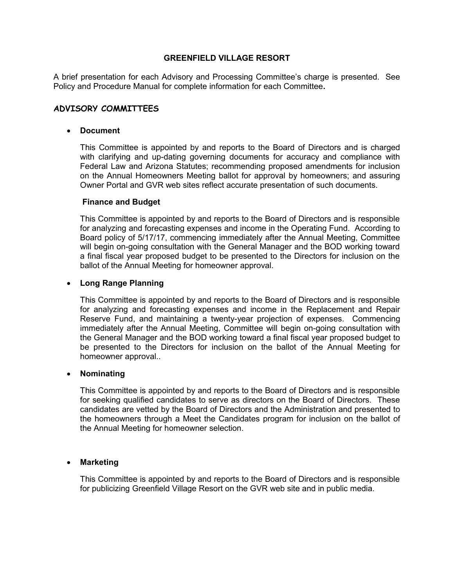A brief presentation for each Advisory and Processing Committee's charge is presented. See Policy and Procedure Manual for complete information for each Committee**.**

## **ADVISORY COMMITTEES**

## **Document**

This Committee is appointed by and reports to the Board of Directors and is charged with clarifying and up-dating governing documents for accuracy and compliance with Federal Law and Arizona Statutes; recommending proposed amendments for inclusion on the Annual Homeowners Meeting ballot for approval by homeowners; and assuring Owner Portal and GVR web sites reflect accurate presentation of such documents.

## **Finance and Budget**

This Committee is appointed by and reports to the Board of Directors and is responsible for analyzing and forecasting expenses and income in the Operating Fund. According to Board policy of 5/17/17, commencing immediately after the Annual Meeting, Committee will begin on-going consultation with the General Manager and the BOD working toward a final fiscal year proposed budget to be presented to the Directors for inclusion on the ballot of the Annual Meeting for homeowner approval.

### **Long Range Planning**

This Committee is appointed by and reports to the Board of Directors and is responsible for analyzing and forecasting expenses and income in the Replacement and Repair Reserve Fund, and maintaining a twenty-year projection of expenses. Commencing immediately after the Annual Meeting, Committee will begin on-going consultation with the General Manager and the BOD working toward a final fiscal year proposed budget to be presented to the Directors for inclusion on the ballot of the Annual Meeting for homeowner approval..

## **Nominating**

This Committee is appointed by and reports to the Board of Directors and is responsible for seeking qualified candidates to serve as directors on the Board of Directors. These candidates are vetted by the Board of Directors and the Administration and presented to the homeowners through a Meet the Candidates program for inclusion on the ballot of the Annual Meeting for homeowner selection.

## **Marketing**

This Committee is appointed by and reports to the Board of Directors and is responsible for publicizing Greenfield Village Resort on the GVR web site and in public media.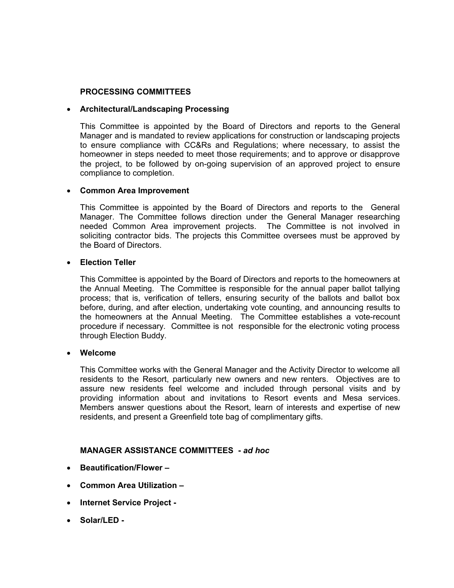## **PROCESSING COMMITTEES**

## **Architectural/Landscaping Processing**

This Committee is appointed by the Board of Directors and reports to the General Manager and is mandated to review applications for construction or landscaping projects to ensure compliance with CC&Rs and Regulations; where necessary, to assist the homeowner in steps needed to meet those requirements; and to approve or disapprove the project, to be followed by on-going supervision of an approved project to ensure compliance to completion.

## **Common Area Improvement**

This Committee is appointed by the Board of Directors and reports to the General Manager. The Committee follows direction under the General Manager researching needed Common Area improvement projects. The Committee is not involved in soliciting contractor bids. The projects this Committee oversees must be approved by the Board of Directors.

## **Election Teller**

This Committee is appointed by the Board of Directors and reports to the homeowners at the Annual Meeting. The Committee is responsible for the annual paper ballot tallying process; that is, verification of tellers, ensuring security of the ballots and ballot box before, during, and after election, undertaking vote counting, and announcing results to the homeowners at the Annual Meeting. The Committee establishes a vote-recount procedure if necessary. Committee is not responsible for the electronic voting process through Election Buddy.

#### **Welcome**

This Committee works with the General Manager and the Activity Director to welcome all residents to the Resort, particularly new owners and new renters. Objectives are to assure new residents feel welcome and included through personal visits and by providing information about and invitations to Resort events and Mesa services. Members answer questions about the Resort, learn of interests and expertise of new residents, and present a Greenfield tote bag of complimentary gifts.

## **MANAGER ASSISTANCE COMMITTEES -** *ad hoc*

- **Beautification/Flower**
- **Common Area Utilization –**
- **Internet Service Project -**
- **Solar/LED -**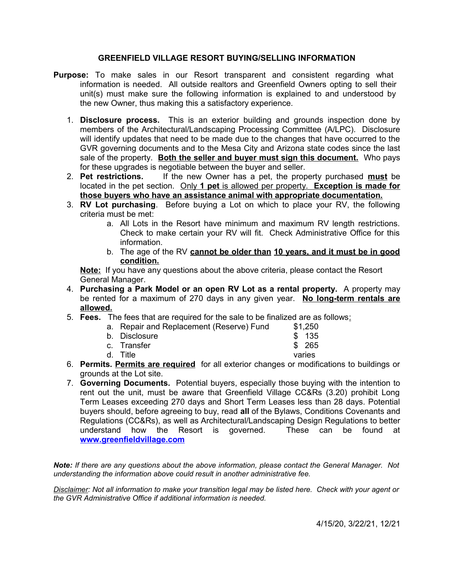## **GREENFIELD VILLAGE RESORT BUYING/SELLING INFORMATION**

- **Purpose:** To make sales in our Resort transparent and consistent regarding what information is needed. All outside realtors and Greenfield Owners opting to sell their unit(s) must make sure the following information is explained to and understood by the new Owner, thus making this a satisfactory experience.
	- 1. **Disclosure process.** This is an exterior building and grounds inspection done by members of the Architectural/Landscaping Processing Committee (A/LPC). Disclosure will identify updates that need to be made due to the changes that have occurred to the GVR governing documents and to the Mesa City and Arizona state codes since the last sale of the property. **Both the seller and buyer must sign this document.** Who pays for these upgrades is negotiable between the buyer and seller.
	- 2. **Pet restrictions.** If the new Owner has a pet, the property purchased **must** be located in the pet section. Only **1 pet** is allowed per property. **Exception is made for those buyers who have an assistance animal with appropriate documentation.**
	- 3. **RV Lot purchasing**. Before buying a Lot on which to place your RV, the following criteria must be met:
		- a. All Lots in the Resort have minimum and maximum RV length restrictions. Check to make certain your RV will fit. Check Administrative Office for this information.
		- b. The age of the RV **cannot be older than 10 years, and it must be in good condition.**

**Note:** If you have any questions about the above criteria, please contact the Resort General Manager.

- 4. **Purchasing a Park Model or an open RV Lot as a rental property.** A property may be rented for a maximum of 270 days in any given year. **No long-term rentals are allowed.**
- 5. **Fees.** The fees that are required for the sale to be finalized are as follows:

| a. Repair and Replacement (Reserve) Fund | \$1,250 |
|------------------------------------------|---------|
| b. Disclosure                            | \$ 135  |
| c. Transfer                              | \$ 265  |
| d. Title                                 | varies  |

- 6. **Permits. Permits are required** for all exterior changes or modifications to buildings or grounds at the Lot site.
- 7. **Governing Documents.** Potential buyers, especially those buying with the intention to rent out the unit, must be aware that Greenfield Village CC&Rs (3.20) prohibit Long Term Leases exceeding 270 days and Short Term Leases less than 28 days. Potential buyers should, before agreeing to buy, read **all** of the Bylaws, Conditions Covenants and Regulations (CC&Rs), as well as Architectural/Landscaping Design Regulations to better understand how the Resort is governed. These can be found at **[www.greenfieldvillage.com](http://www.greenfieldvillage.com/)**

*Note: If there are any questions about the above information, please contact the General Manager. Not understanding the information above could result in another administrative fee.*

*Disclaimer: Not all information to make your transition legal may be listed here. Check with your agent or the GVR Administrative Office if additional information is needed.*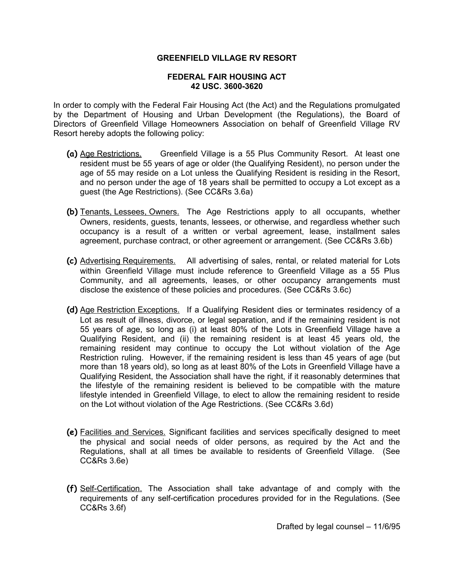## **FEDERAL FAIR HOUSING ACT 42 USC. 3600-3620**

In order to comply with the Federal Fair Housing Act (the Act) and the Regulations promulgated by the Department of Housing and Urban Development (the Regulations), the Board of Directors of Greenfield Village Homeowners Association on behalf of Greenfield Village RV Resort hereby adopts the following policy:

- **(a)** Age Restrictions. Greenfield Village is a 55 Plus Community Resort. At least one resident must be 55 years of age or older (the Qualifying Resident), no person under the age of 55 may reside on a Lot unless the Qualifying Resident is residing in the Resort, and no person under the age of 18 years shall be permitted to occupy a Lot except as a guest (the Age Restrictions). (See CC&Rs 3.6a)
- **(b)** Tenants, Lessees, Owners. The Age Restrictions apply to all occupants, whether Owners, residents, guests, tenants, lessees, or otherwise, and regardless whether such occupancy is a result of a written or verbal agreement, lease, installment sales agreement, purchase contract, or other agreement or arrangement. (See CC&Rs 3.6b)
- **(c)** Advertising Requirements. All advertising of sales, rental, or related material for Lots within Greenfield Village must include reference to Greenfield Village as a 55 Plus Community, and all agreements, leases, or other occupancy arrangements must disclose the existence of these policies and procedures. (See CC&Rs 3.6c)
- **(d)** Age Restriction Exceptions. If a Qualifying Resident dies or terminates residency of a Lot as result of illness, divorce, or legal separation, and if the remaining resident is not 55 years of age, so long as (i) at least 80% of the Lots in Greenfield Village have a Qualifying Resident, and (ii) the remaining resident is at least 45 years old, the remaining resident may continue to occupy the Lot without violation of the Age Restriction ruling. However, if the remaining resident is less than 45 years of age (but more than 18 years old), so long as at least 80% of the Lots in Greenfield Village have a Qualifying Resident, the Association shall have the right, if it reasonably determines that the lifestyle of the remaining resident is believed to be compatible with the mature lifestyle intended in Greenfield Village, to elect to allow the remaining resident to reside on the Lot without violation of the Age Restrictions. (See CC&Rs 3.6d)
- **(e)** Facilities and Services. Significant facilities and services specifically designed to meet the physical and social needs of older persons, as required by the Act and the Regulations, shall at all times be available to residents of Greenfield Village. (See CC&Rs 3.6e)
- **(f)** Self-Certification. The Association shall take advantage of and comply with the requirements of any self-certification procedures provided for in the Regulations. (See CC&Rs 3.6f)

Drafted by legal counsel – 11/6/95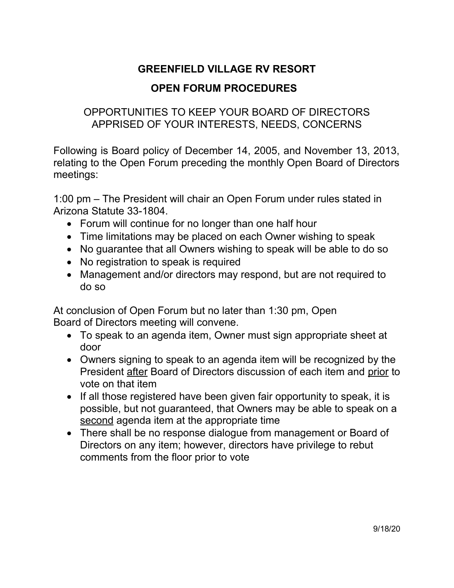# **OPEN FORUM PROCEDURES**

# OPPORTUNITIES TO KEEP YOUR BOARD OF DIRECTORS APPRISED OF YOUR INTERESTS, NEEDS, CONCERNS

Following is Board policy of December 14, 2005, and November 13, 2013, relating to the Open Forum preceding the monthly Open Board of Directors meetings:

1:00 pm – The President will chair an Open Forum under rules stated in Arizona Statute 33-1804.

- Forum will continue for no longer than one half hour
- Time limitations may be placed on each Owner wishing to speak
- No guarantee that all Owners wishing to speak will be able to do so
- No registration to speak is required
- Management and/or directors may respond, but are not required to do so

At conclusion of Open Forum but no later than 1:30 pm, Open Board of Directors meeting will convene.

- To speak to an agenda item, Owner must sign appropriate sheet at door
- Owners signing to speak to an agenda item will be recognized by the President after Board of Directors discussion of each item and prior to vote on that item
- If all those registered have been given fair opportunity to speak, it is possible, but not guaranteed, that Owners may be able to speak on a second agenda item at the appropriate time
- There shall be no response dialogue from management or Board of Directors on any item; however, directors have privilege to rebut comments from the floor prior to vote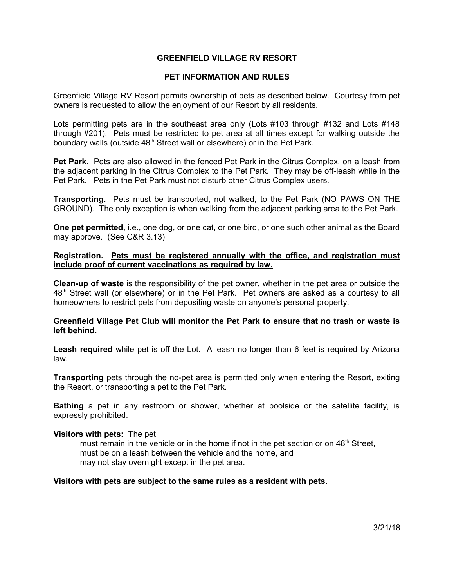## **PET INFORMATION AND RULES**

Greenfield Village RV Resort permits ownership of pets as described below. Courtesy from pet owners is requested to allow the enjoyment of our Resort by all residents.

Lots permitting pets are in the southeast area only (Lots #103 through #132 and Lots #148 through #201). Pets must be restricted to pet area at all times except for walking outside the boundary walls (outside 48<sup>th</sup> Street wall or elsewhere) or in the Pet Park.

**Pet Park.** Pets are also allowed in the fenced Pet Park in the Citrus Complex, on a leash from the adjacent parking in the Citrus Complex to the Pet Park. They may be off-leash while in the Pet Park. Pets in the Pet Park must not disturb other Citrus Complex users.

**Transporting.** Pets must be transported, not walked, to the Pet Park (NO PAWS ON THE GROUND). The only exception is when walking from the adjacent parking area to the Pet Park.

**One pet permitted,** i.e., one dog, or one cat, or one bird, or one such other animal as the Board may approve. (See C&R 3.13)

## **Registration. Pets must be registered annually with the office, and registration must include proof of current vaccinations as required by law.**

**Clean-up of waste** is the responsibility of the pet owner, whether in the pet area or outside the 48<sup>th</sup> Street wall (or elsewhere) or in the Pet Park. Pet owners are asked as a courtesy to all homeowners to restrict pets from depositing waste on anyone's personal property.

## **Greenfield Village Pet Club will monitor the Pet Park to ensure that no trash or waste is left behind.**

**Leash required** while pet is off the Lot. A leash no longer than 6 feet is required by Arizona law.

**Transporting** pets through the no-pet area is permitted only when entering the Resort, exiting the Resort, or transporting a pet to the Pet Park.

**Bathing** a pet in any restroom or shower, whether at poolside or the satellite facility, is expressly prohibited.

#### **Visitors with pets:** The pet

must remain in the vehicle or in the home if not in the pet section or on  $48<sup>th</sup>$  Street, must be on a leash between the vehicle and the home, and may not stay overnight except in the pet area.

## **Visitors with pets are subject to the same rules as a resident with pets.**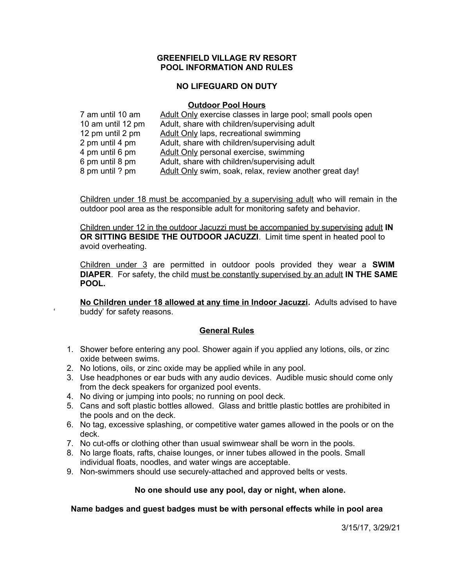## **GREENFIELD VILLAGE RV RESORT POOL INFORMATION AND RULES**

## **NO LIFEGUARD ON DUTY**

### **Outdoor Pool Hours**

| 7 am until 10 am  | Adult Only exercise classes in large pool; small pools open |
|-------------------|-------------------------------------------------------------|
| 10 am until 12 pm | Adult, share with children/supervising adult                |
| 12 pm until 2 pm  | <b>Adult Only laps, recreational swimming</b>               |
| 2 pm until 4 pm   | Adult, share with children/supervising adult                |
| 4 pm until 6 pm   | Adult Only personal exercise, swimming                      |
| 6 pm until 8 pm   | Adult, share with children/supervising adult                |
| 8 pm until ? pm   | Adult Only swim, soak, relax, review another great day!     |

Children under 18 must be accompanied by a supervising adult who will remain in the outdoor pool area as the responsible adult for monitoring safety and behavior.

Children under 12 in the outdoor Jacuzzi must be accompanied by supervising adult **IN OR SITTING BESIDE THE OUTDOOR JACUZZI**. Limit time spent in heated pool to avoid overheating.

Children under 3 are permitted in outdoor pools provided they wear a **SWIM DIAPER**. For safety, the child must be constantly supervised by an adult **IN THE SAME POOL.**

**No Children under 18 allowed at any time in Indoor Jacuzzi.** Adults advised to have buddy' for safety reasons.

## **General Rules**

- 1. Shower before entering any pool. Shower again if you applied any lotions, oils, or zinc oxide between swims.
- 2. No lotions, oils, or zinc oxide may be applied while in any pool.
- 3. Use headphones or ear buds with any audio devices. Audible music should come only from the deck speakers for organized pool events.
- 4. No diving or jumping into pools; no running on pool deck.
- 5. Cans and soft plastic bottles allowed. Glass and brittle plastic bottles are prohibited in the pools and on the deck.
- 6. No tag, excessive splashing, or competitive water games allowed in the pools or on the deck.
- 7. No cut-offs or clothing other than usual swimwear shall be worn in the pools.
- 8. No large floats, rafts, chaise lounges, or inner tubes allowed in the pools. Small individual floats, noodles, and water wings are acceptable.
- 9. Non-swimmers should use securely-attached and approved belts or vests.

## **No one should use any pool, day or night, when alone.**

**Name badges and guest badges must be with personal effects while in pool area**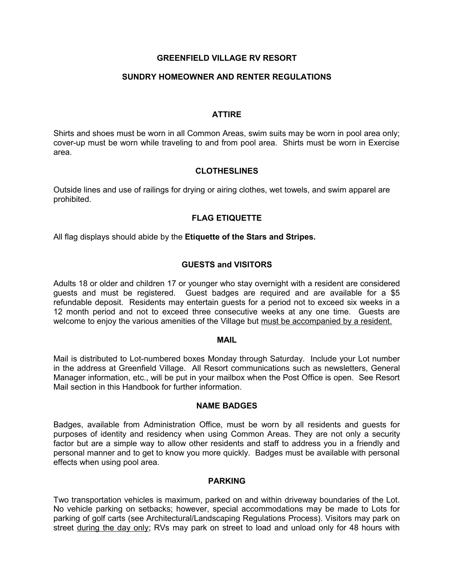## **SUNDRY HOMEOWNER AND RENTER REGULATIONS**

## **ATTIRE**

Shirts and shoes must be worn in all Common Areas, swim suits may be worn in pool area only; cover-up must be worn while traveling to and from pool area. Shirts must be worn in Exercise area.

## **CLOTHESLINES**

Outside lines and use of railings for drying or airing clothes, wet towels, and swim apparel are prohibited.

## **FLAG ETIQUETTE**

All flag displays should abide by the **Etiquette of the Stars and Stripes.**

## **GUESTS and VISITORS**

Adults 18 or older and children 17 or younger who stay overnight with a resident are considered guests and must be registered. Guest badges are required and are available for a \$5 refundable deposit. Residents may entertain guests for a period not to exceed six weeks in a 12 month period and not to exceed three consecutive weeks at any one time. Guests are welcome to enjoy the various amenities of the Village but must be accompanied by a resident.

#### **MAIL**

Mail is distributed to Lot-numbered boxes Monday through Saturday. Include your Lot number in the address at Greenfield Village. All Resort communications such as newsletters, General Manager information, etc., will be put in your mailbox when the Post Office is open. See Resort Mail section in this Handbook for further information.

## **NAME BADGES**

Badges, available from Administration Office, must be worn by all residents and guests for purposes of identity and residency when using Common Areas. They are not only a security factor but are a simple way to allow other residents and staff to address you in a friendly and personal manner and to get to know you more quickly. Badges must be available with personal effects when using pool area.

## **PARKING**

Two transportation vehicles is maximum, parked on and within driveway boundaries of the Lot. No vehicle parking on setbacks; however, special accommodations may be made to Lots for parking of golf carts (see Architectural/Landscaping Regulations Process). Visitors may park on street during the day only; RVs may park on street to load and unload only for 48 hours with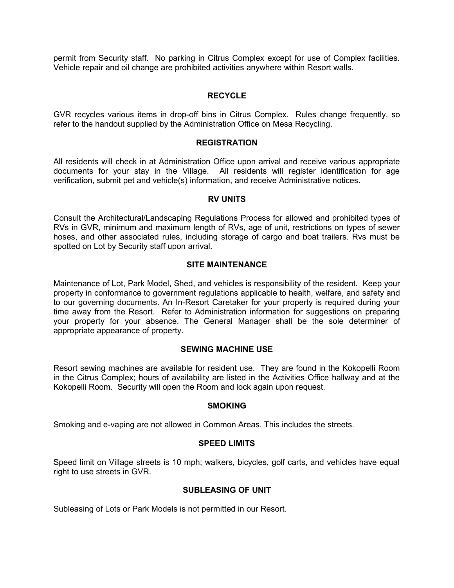permit from Security staff. No parking in Citrus Complex except for use of Complex facilities. Vehicle repair and oil change are prohibited activities anywhere within Resort walls.

## **RECYCLE**

GVR recycles various items in drop-off bins in Citrus Complex. Rules change frequently, so refer to the handout supplied by the Administration Office on Mesa Recycling.

## **REGISTRATION**

All residents will check in at Administration Office upon arrival and receive various appropriate documents for your stay in the Village. All residents will register identification for age verification, submit pet and vehicle(s) information, and receive Administrative notices.

#### **RV UNITS**

Consult the Architectural/Landscaping Regulations Process for allowed and prohibited types of RVs in GVR, minimum and maximum length of RVs, age of unit, restrictions on types of sewer hoses, and other associated rules, including storage of cargo and boat trailers. Rvs must be spotted on Lot by Security staff upon arrival.

## **SITE MAINTENANCE**

Maintenance of Lot, Park Model, Shed, and vehicles is responsibility of the resident. Keep your property in conformance to government regulations applicable to health, welfare, and safety and to our governing documents. An In-Resort Caretaker for your property is required during your time away from the Resort. Refer to Administration information for suggestions on preparing your property for your absence. The General Manager shall be the sole determiner of appropriate appearance of property.

## **SEWING MACHINE USE**

Resort sewing machines are available for resident use. They are found in the Kokopelli Room in the Citrus Complex; hours of availability are listed in the Activities Office hallway and at the Kokopelli Room. Security will open the Room and lock again upon request.

## **SMOKING**

Smoking and e-vaping are not allowed in Common Areas. This includes the streets.

## **SPEED LIMITS**

Speed limit on Village streets is 10 mph; walkers, bicycles, golf carts, and vehicles have equal right to use streets in GVR.

## **SUBLEASING OF UNIT**

Subleasing of Lots or Park Models is not permitted in our Resort.